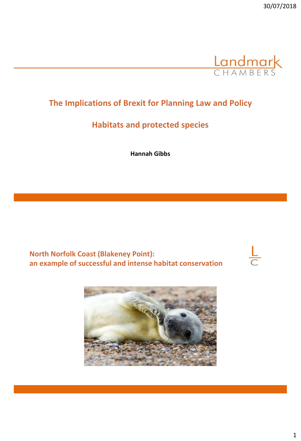

 $\frac{L}{C}$ 

# **The Implications of Brexit for Planning Law and Policy**

## **Habitats and protected species**

**Hannah Gibbs**

**North Norfolk Coast (Blakeney Point): an example of successful and intense habitat conservation** 

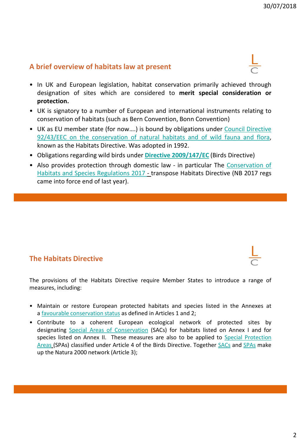## **A brief overview of habitats law at present**

- In UK and European legislation, habitat conservation primarily achieved through designation of sites which are considered to **merit special consideration or protection.**
- UK is signatory to a number of European and international instruments relating to conservation of habitats (such as Bern Convention, Bonn Convention)
- UK as EU member state (for now….) is bound by obligations under Council Directive 92/43/EEC on the [conservation](http://eur-lex.europa.eu/LexUriServ/LexUriServ.do?uri=CELEX:31992L0043:EN:HTML) of natural habitats and of wild fauna and flora, known as the Habitats Directive. Was adopted in 1992.
- Obligations regarding wild birds under **Directive [2009/147/EC](http://eur-lex.europa.eu/LexUriServ/LexUriServ.do?uri=OJ:L:2010:020:0007:0025:EN:PDF)** (Birds Directive)
- Also provides protection through domestic law in particular The [Conservation](http://www.legislation.gov.uk/uksi/2010/490/contents/made) of Habitats and Species Regulations 2017 - transpose Habitats Directive (NB 2017 regs came into force end of last year).

# **The Habitats Directive**

The provisions of the Habitats Directive require Member States to introduce a range of measures, including:

- Maintain or restore European protected habitats and species listed in the Annexes at a favourable [conservation](http://jncc.defra.gov.uk/page-4060) status as defined in Articles 1 and 2;
- Contribute to a coherent European ecological network of protected sites by designating Special Areas of [Conservation](http://jncc.defra.gov.uk/page-23) (SACs) for habitats listed on Annex I and for species listed on Annex II. These measures are also to be applied to Special [Protection](http://jncc.defra.gov.uk/page-162) Areas (SPAs) classified under Article 4 of the Birds Directive. Together [SACs](http://jncc.defra.gov.uk/page-23) and [SPAs](http://jncc.defra.gov.uk/page-162) make up the Natura 2000 network (Article 3);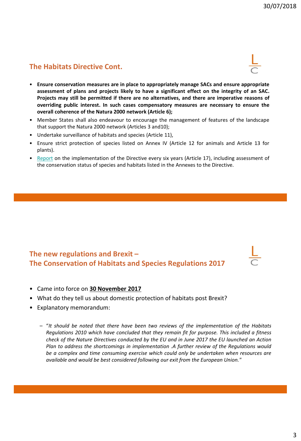## **The Habitats Directive Cont.**

- 
- **Ensure conservation measures are in place to appropriately manage SACs and ensure appropriate assessment of plans and projects likely to have a significant effect on the integrity of an SAC. Projects may still be permitted if there are no alternatives, and there are imperative reasons of overriding public interest. In such cases compensatory measures are necessary to ensure the overall coherence of the Natura 2000 network (Article 6);**
- Member States shall also endeavour to encourage the management of features of the landscape that support the Natura 2000 network (Articles 3 and10);
- Undertake surveillance of habitats and species (Article 11),
- Ensure strict protection of species listed on Annex IV (Article 12 for animals and Article 13 for plants).
- [Report](http://jncc.defra.gov.uk/page-6397) on the implementation of the Directive every six years (Article 17), including assessment of the conservation status of species and habitats listed in the Annexes to the Directive.

#### **The new regulations and Brexit – The Conservation of Habitats and Species Regulations 2017**

- Came into force on **30 November 2017**
- What do they tell us about domestic protection of habitats post Brexit?
- Explanatory memorandum:
	- "*It should be noted that there have been two reviews of the implementation of the Habitats Regulations 2010 which have concluded that they remain fit for purpose. This included a fitness check of the Nature Directives conducted by the EU and in June 2017 the EU launched an Action Plan to address the shortcomings in implementation .A further review of the Regulations would be a complex and time consuming exercise which could only be undertaken when resources are available and would be best considered following our exit from the European Union."*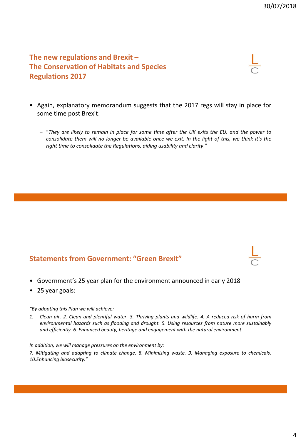**The new regulations and Brexit – The Conservation of Habitats and Species Regulations 2017**

- 
- Again, explanatory memorandum suggests that the 2017 regs will stay in place for some time post Brexit:
	- "They are likely to remain in place for some time after the UK exits the EU, and the power to consolidate them will no longer be available once we exit. In the light of this, we think it's the *right time to consolidate the Regulations, aiding usability and clarity*."

#### **Statements from Government: "Green Brexit"**

- Government's 25 year plan for the environment announced in early 2018
- 25 year goals:

*"By adopting this Plan we will achieve:*

1. Clean air. 2. Clean and plentiful water. 3. Thriving plants and wildlife. 4. A reduced risk of harm from *environmental hazards such as flooding and drought. 5. Using resources from nature more sustainably and efficiently. 6. Enhanced beauty, heritage and engagement with the natural environment.*

*In addition, we will manage pressures on the environment by:*

*7. Mitigating and adapting to climate change. 8. Minimising waste. 9. Managing exposure to chemicals. 10.Enhancing biosecurity."*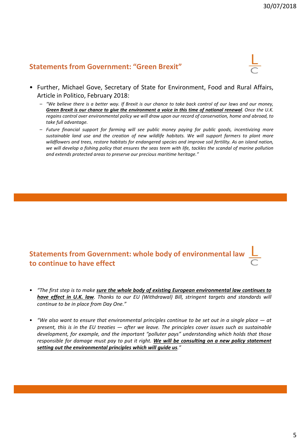#### **Statements from Government: "Green Brexit"**

- Further, Michael Gove, Secretary of State for Environment, Food and Rural Affairs, Article in Politico, February 2018:
	- "We believe there is a better way. If Brexit is our chance to take back control of our laws and our money, Green Brexit is our chance to give the environment a voice in this time of national renewal. Once the U.K. regains control over environmental policy we will draw upon our record of conservation, home and abroad, to *take full advantage.*
	- *Future financial support for farming will see public money paying for public goods, incentivizing more sustainable land use and the creation of new wildlife habitats. We will support farmers to plant more wildflowers and trees, restore habitats for endangered species and improve soil fertility. As an island nation,* we will develop a fishing policy that ensures the seas teem with life, tackles the scandal of marine pollution *and extends protected areas to preserve our precious maritime heritage."*

## **Statements from Government: whole body of environmental law to continue to have effect**

- "The first step is to make sure the whole body of existing European environmental law continues to *have effect in U.K. law. Thanks to our EU (Withdrawal) Bill, stringent targets and standards will continue to be in place from Day One."*
- "We also want to ensure that environmental principles continue to be set out in a single place  $-$  at present, this is in the EU treaties  $-$  after we leave. The principles cover issues such as sustainable *development, for example, and the important "polluter pays" understanding which holds that those responsible for damage must pay to put it right. We will be consulting on a new policy statement setting out the environmental principles which will guide us."*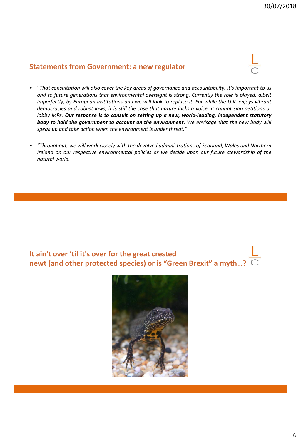#### **Statements from Government: a new regulator**

- "*That consultation will also cover the key areas of governance and accountability. It's important to us and to future generations that environmental oversight is strong. Currently the role is played, albeit imperfectly, by European institutions and we will look to replace it. For while the U.K. enjoys vibrant* democracies and robust laws, it is still the case that nature lacks a voice: it cannot sign petitions or *lobby MPs. Our response is to consult on setting up a new, world-leading, independent statutory body to hold the government to account on the environment. We envisage that the new body will speak up and take action when the environment is under threat."*
- *"Throughout, we will work closely with the devolved administrations of Scotland, Wales and Northern Ireland on our respective environmental policies as we decide upon our future stewardship of the natural world."*

**It ain't over 'til it's over for the great crested newt (and other protected species) or is "Green Brexit" a myth…?** 

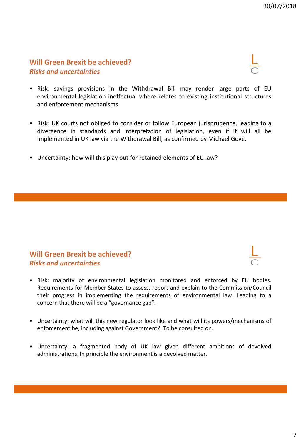### **Will Green Brexit be achieved?** *Risks and uncertainties*

- Risk: savings provisions in the Withdrawal Bill may render large parts of EU environmental legislation ineffectual where relates to existing institutional structures and enforcement mechanisms.
- Risk: UK courts not obliged to consider or follow European jurisprudence, leading to a divergence in standards and interpretation of legislation, even if it will all be implemented in UK law via the Withdrawal Bill, as confirmed by Michael Gove.
- Uncertainty: how will this play out for retained elements of EU law?

### **Will Green Brexit be achieved?** *Risks and uncertainties*

- Risk: majority of environmental legislation monitored and enforced by EU bodies. Requirements for Member States to assess, report and explain to the Commission/Council their progress in implementing the requirements of environmental law. Leading to a concern that there will be a "governance gap".
- Uncertainty: what will this new regulator look like and what will its powers/mechanisms of enforcement be, including against Government?. To be consulted on.
- Uncertainty: a fragmented body of UK law given different ambitions of devolved administrations. In principle the environment is a devolved matter.